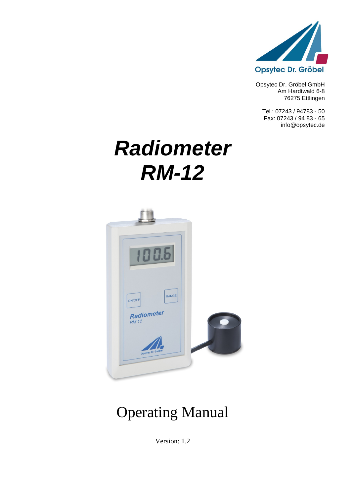

Opsytec Dr. Gröbel GmbH Am Hardtwald 6-8 76275 Ettlingen

Tel.: 07243 / 94783 - 50 Fax: 07243 / 94 83 - 65 info@opsytec.de

# *Radiometer RM-12*



# Operating Manual

Version: 1.2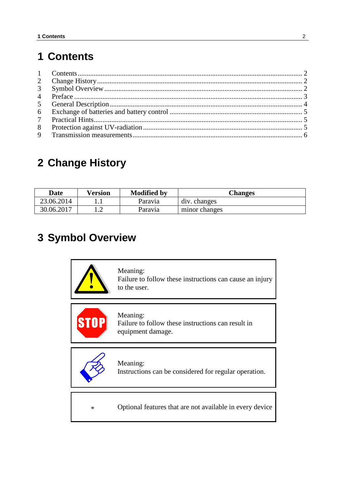### <span id="page-1-0"></span>**1 Contents**

# <span id="page-1-1"></span>**2 Change History**

| <b>Date</b> | Version      | <b>Modified by</b> | <b>Changes</b> |
|-------------|--------------|--------------------|----------------|
| 23.06.2014  | .            | Paravia            | div. changes   |
| 30.06.2017  | . . <u>.</u> | Paravia            | minor changes  |

# <span id="page-1-2"></span>**3 Symbol Overview**

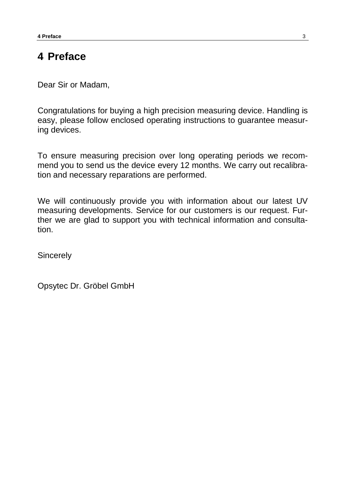#### <span id="page-2-0"></span>**4 Preface**

Dear Sir or Madam,

Congratulations for buying a high precision measuring device. Handling is easy, please follow enclosed operating instructions to guarantee measuring devices.

To ensure measuring precision over long operating periods we recommend you to send us the device every 12 months. We carry out recalibration and necessary reparations are performed.

We will continuously provide you with information about our latest UV measuring developments. Service for our customers is our request. Further we are glad to support you with technical information and consultation.

**Sincerely** 

Opsytec Dr. Gröbel GmbH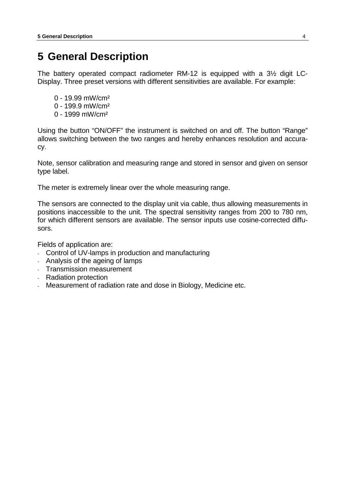#### <span id="page-3-0"></span>**5 General Description**

The battery operated compact radiometer RM-12 is equipped with a 3½ digit LC-Display. Three preset versions with different sensitivities are available. For example:

- 0 19.99 mW/cm²
- 0 199.9 mW/cm²
- 0 1999 mW/cm²

Using the button "ON/OFF" the instrument is switched on and off. The button "Range" allows switching between the two ranges and hereby enhances resolution and accuracy.

Note, sensor calibration and measuring range and stored in sensor and given on sensor type label.

The meter is extremely linear over the whole measuring range.

The sensors are connected to the display unit via cable, thus allowing measurements in positions inaccessible to the unit. The spectral sensitivity ranges from 200 to 780 nm, for which different sensors are available. The sensor inputs use cosine-corrected diffusors.

Fields of application are:

- Control of UV-lamps in production and manufacturing
- Analysis of the ageing of lamps
- Transmission measurement
- Radiation protection
- <span id="page-3-1"></span>Measurement of radiation rate and dose in Biology, Medicine etc.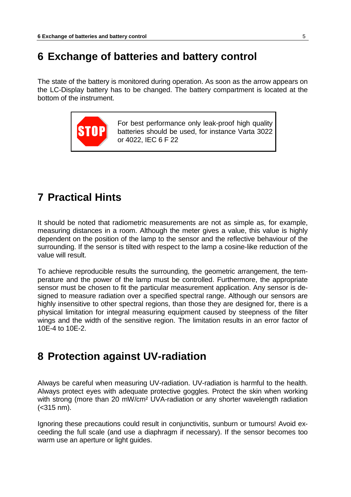#### **6 Exchange of batteries and battery control**

The state of the battery is monitored during operation. As soon as the arrow appears on the LC-Display battery has to be changed. The battery compartment is located at the bottom of the instrument.



For best performance only leak-proof high quality batteries should be used, for instance Varta 3022 or 4022, IEC 6 F 22

#### <span id="page-4-0"></span>**7 Practical Hints**

It should be noted that radiometric measurements are not as simple as, for example, measuring distances in a room. Although the meter gives a value, this value is highly dependent on the position of the lamp to the sensor and the reflective behaviour of the surrounding. If the sensor is tilted with respect to the lamp a cosine-like reduction of the value will result.

To achieve reproducible results the surrounding, the geometric arrangement, the temperature and the power of the lamp must be controlled. Furthermore, the appropriate sensor must be chosen to fit the particular measurement application. Any sensor is designed to measure radiation over a specified spectral range. Although our sensors are highly insensitive to other spectral regions, than those they are designed for, there is a physical limitation for integral measuring equipment caused by steepness of the filter wings and the width of the sensitive region. The limitation results in an error factor of 10E-4 to 10E-2.

#### <span id="page-4-1"></span>**8 Protection against UV-radiation**

Always be careful when measuring UV-radiation. UV-radiation is harmful to the health. Always protect eyes with adequate protective goggles. Protect the skin when working with strong (more than 20 mW/cm<sup>2</sup> UVA-radiation or any shorter wavelength radiation (<315 nm).

Ignoring these precautions could result in conjunctivitis, sunburn or tumours! Avoid exceeding the full scale (and use a diaphragm if necessary). If the sensor becomes too warm use an aperture or light guides.